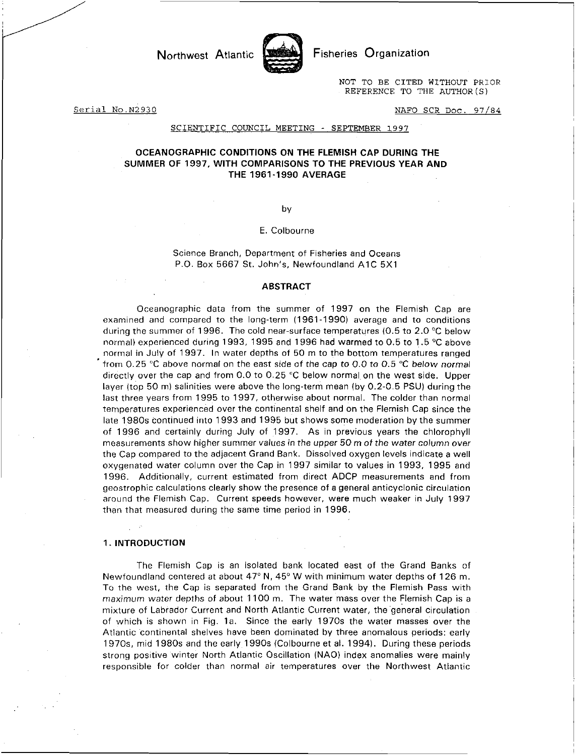

Northwest Atlantic **Fisheries** Organization

NOT TO BE CITED WITHOUT PRIOR REFERENCE TO THE AUTHOR(S)

Serial No.N2930 NAFO SCR Doc. 97/84

#### SCIENTIFIC COUNCIL MEETING - SEPTEMBER 1997

# OCEANOGRAPHIC CONDITIONS ON THE FLEMISH CAP DURING THE SUMMER OF 1997, WITH COMPARISONS TO THE PREVIOUS YEAR AND THE 1961-1990 AVERAGE

by

### E. Colbourne

Science Branch, Department of Fisheries and Oceans P.O. Box 5667 St. John's, Newfoundland A1C 5X1

### ABSTRACT

Oceanographic data from the summer of 1997 on the Flemish Cap are examined and compared to the long-term (1961-1990) average and to conditions during the summer of 1996. The cold near-surface temperatures (0.5 to 2.0 °C below normal) experienced during 1993, 1995 and 1996 had warmed to 0.5 to 1.5 °C above normal in July of 1997. In water depths of 50 m to the bottom temperatures ranged from 0.25 °C above normal on the east side of the cap to 0.0 to 0.5 °C *below normal*  directly over the cap and from 0.0 to 0.25 °C below normal on the west side. Upper layer (top 50 m) salinities were above the long-term mean (by 0.2-0.5 PSU) during the last three years from 1995 to 1997, otherwise about normal. The colder than normal temperatures experienced over the continental shelf and on the Flemish Cap since the late 1980s continued into 1993 and 1995 but shows some moderation by the summer of 1996 and certainly during July of 1997. As in previous years the chlorophyll measurements show higher summer values *in* the *upper* 50 m of the water column over the Cap compared to the adjacent Grand Bank. Dissolved oxygen levels indicate a well oxygenated water column over the Cap in 1997 similar to values in 1993, 1995 and 1996. Additionally, current estimated from direct ADCP measurements and from geostrophic calculations clearly show the presence of a general anticyclonic circulation around the Flemish. Cap. Current speeds however, were much weaker in July 1997 than that measured during the same time period in 1996.

### 1. INTRODUCTION

The Flemish Cap is an isolated bank located east of the Grand Banks of Newfoundland centered at about 47°N, 45° W with minimum water depths of 126 m. To the west, the Cap is separated from the Grand Bank by the Flemish Pass with *maximum water* depths of about 1100 m. The water mass over the Flemish Cap is a mixture of Labrador Current and North Atlantic Current water, the general circulation of which is shown in Fig. 1a. Since the early 1970s the water masses over the Atlantic continental shelves have been dominated by three anomalous periods: early 1970s, mid 1980s and the early 1990s (Colbourne et al. 1994). During these periods strong positive winter North Atlantic Oscillation (NAO) index anomalies were mainly responsible for colder than normal air temperatures over the Northwest Atlantic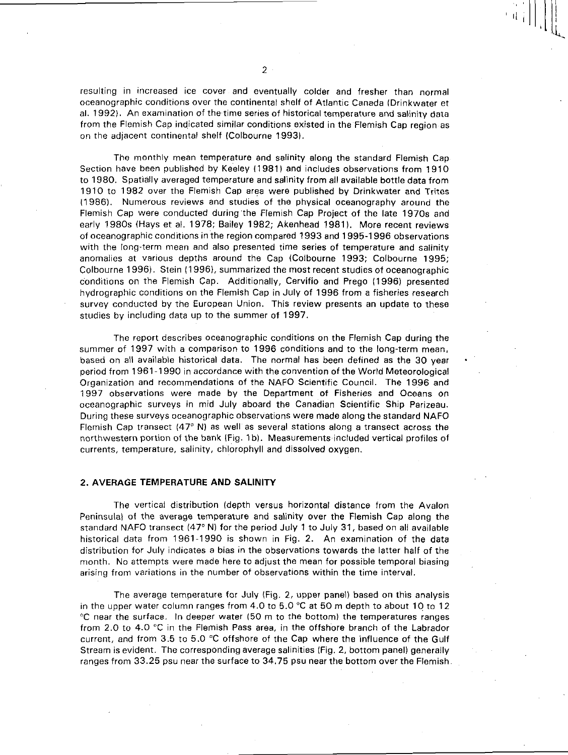resulting in increased ice cover and eventually colder and fresher than normal oceanographic conditions over the continental shelf of Atlantic Canada (Drinkwater et al. 1992). An examination of the time series of historical temperature and salinity data from the Flemish Cap indicated similar conditions existed in the Flemish Cap region as on the adjacent continental shelf (Colbourne 1993).

The monthly mean temperature and salinity along the standard Flemish Cap . Section have been published by Keeley (1981) and includes observations from 1910 to 1980. Spatially averaged temperature and salinity from all available bottle data from 1910 to 1982 over the Flemish Cap area were published by Drinkwater and Trites (1986). Numerous reviews and studies of the physical oceanography around the Flemish Cap were conducted during 'the Flemish Cap Project of the late 1970s and early 1980s (Hays et al. 1978; Bailey 1982; Akenhead 1981). More recent reviews of oceanographic conditions in the region compared 1993 and 1995-1996 observations with the long-term mean and also presented time series of temperature and salinity anomalies at various depths around the Cap (Colbourne 1993; Colbourne 1995; Colbourne 1996). Stein (1996), summarized the most recent studies of oceanographic conditions on the Flemish Cap. Additionally, Cervifio and Prego (1996) presented hydrographic conditions on the Flemish Cap in July of 1996 from a fisheries research survey conducted by the European Union. This review presents an update to these studies by including data up to the summer of 1997.

The report describes oceanographic conditions on the Flemish Cap during the summer of 1997 with a comparison to 1996 conditions and to the long-term mean. based on all available historical data. The normal has been defined as the 30 year period from 1961-1990 in accordance with the convention of the World Meteorological Organization and recommendations of the NAFO Scientific Council. The 1996 and 1997 observations were made by the Department of Fisheries and Oceans on oceanographic surveys in mid July aboard the Canadian Scientific Ship Parizeau. During these surveys oceanographic observations were made along the standard NAFO Flemish Cap transect  $(47° \text{ N})$  as well as several stations along a transect across the northwestern portion of the bank (Fig. 1 b). Measurements included vertical profiles of currents, temperature, salinity, chlorophyll and dissolved oxygen.

# **2. AVERAGE TEMPERATURE AND SALINITY**

The vertical distribution (depth versus horizontal distance from the Avalon Peninsula) of the average temperature and salinity over the Flemish Cap along the standard NAFO transect (47° N) for the period July 1 to July 31, based on all available historical data from 1961-1990 is shown in Fig. 2. An examination of the data distribution for July indicates a bias in the observations towards the latter half of the month. No attempts were made here to adjust the mean for possible temporal biasing arising from variations in the number of observations within the time interval.

The average temperature for July (Fig. 2, upper panel) based on this analysis in the upper water column ranges from 4.0 to 5.0  $^{\circ}$ C at 50 m depth to about 10 to 12 °C near the surface. In deeper water (50 m to the bottom) the temperatures ranges from 2.0 to 4.0 °C in the Flemish Pass area, in the offshore branch of the Labrador current, and from 3.5 to 5.0 °C offshore of the Cap where the influence of the Gulf Stream is evident. The corresponding average salinities (Fig. 2, bottom panel) generally ranges from 33.25 psu near the surface to 34.75 psu near the bottom over the Flemish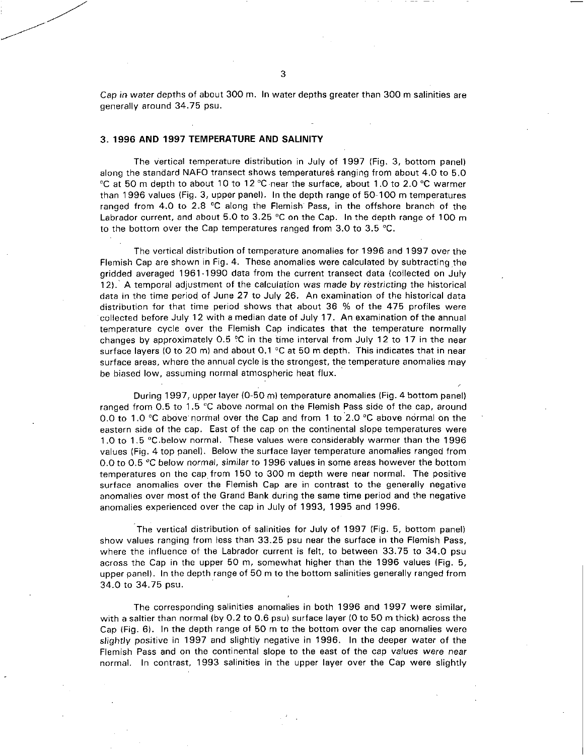Cap in water depths of about 300 m. In water depths greater than 300 m salinities are generally around 34.75 psu.

# 3. 1996 AND 1997 TEMPERATURE AND SALINITY

The vertical temperature distribution in July of 1997 (Fig. 3, bottom panel) along the standard NAFO transect shows temperatures ranging from about 4.0 to 5.0 °C at 50 m depth to about 10 to 12 °C near the surface, about 1.0 to 2.0 °C warmer than 1996 values (Fig. 3, upper panel). In the depth range of 50-100 m temperatures ranged from 4.0 to 2.8 °C along the Flemish' Pass, in the offshore branch of the Labrador current, and about 5.0 to 3.25  $^{\circ}$ C on the Cap. In the depth range of 100 m to the bottom over the Cap temperatures ranged from 3.0 to 3.5 °C.

The vertical distribution of temperature anomalies for 1996 and 1997 over the Flemish Cap are shown in Fig. 4. These anomalies were calculated by subtracting the gridded averaged 1961-1990 data from the current transect data (collected on July 12).' A temporal adjustment of the calculation was made by restricting the historical data in the time period of June 27 to July 26. An examination of the historical data distribution for that time period shows that about 36 % of the 475 profiles were collected before July 12 with a median date of July 17. An examination of the annual temperature cycle over the Flemish Cap indicates that the temperature normally changes by approximately 0.5 °C in the time interval from July 12 to 17 in the near surface layers (0 to 20 m) and about  $0.1 \degree C$  at 50 m depth. This indicates that in near surface areas, where the annual cycle is the strongest, the temperature anomalies may be biased low, assuming normal atmospheric heat flux.

During 1997, upper layer (0-50 m) temperature anomalies (Fig. 4 bottom panel) ranged from 0.5 to 1.5 °C above normal on the Flemish Pass side of the cap, around 0.0 to 1.0 °C above normal over the Cap and from 1 to 2.0 °C above normal on the eastern side of the cap. East of the cap on the continental slope temperatures were 1.0 to 1.5 °C.below normal. These values were considerably warmer than the 1996 values (Fig. 4 top panel). Below the surface layer temperature anomalies ranged from 0.0 to 0.5 °C below normal, similar to 1996 values in some areas however the bottom temperatures on the cap from 150 to 300 m depth were near normal. The positive surface anomalies over the Flemish Cap are in contrast to the generally negative anomalies over most of the Grand Bank during the same time period and the negative anomalies experienced over the cap in July of 1993, 1995 and 1996.

The vertical distribution of salinities for July of 1997 (Fig. 5, bottom panel) show values ranging from less than 33.25 psu near the surface in the Flemish Pass, where the influence of the Labrador current is felt, to between 33.75 to 34.0 psu across the Cap in the upper 50 m, somewhat higher than the 1996 values (Fig. 5, upper panel). In the depth range of 50 m to the bottom salinities generally ranged from 34.0 to 34.75 psu.

The corresponding salinities anomalies in both 1996 and 1997 were similar, with a saltier than normal (by 0.2 to 0.6 psu) surface layer (0 to 50 m thick) across the Cap (Fig. 6). In the depth range of 50 m to the bottom over the cap anomalies were slightly positive in 1997 and slightly negative in 1996. In the deeper water of the Flemish Pass and on the continental slope to the east of the cap values were near normal. In contrast, 1993 salinities in the upper layer over the Cap were slightly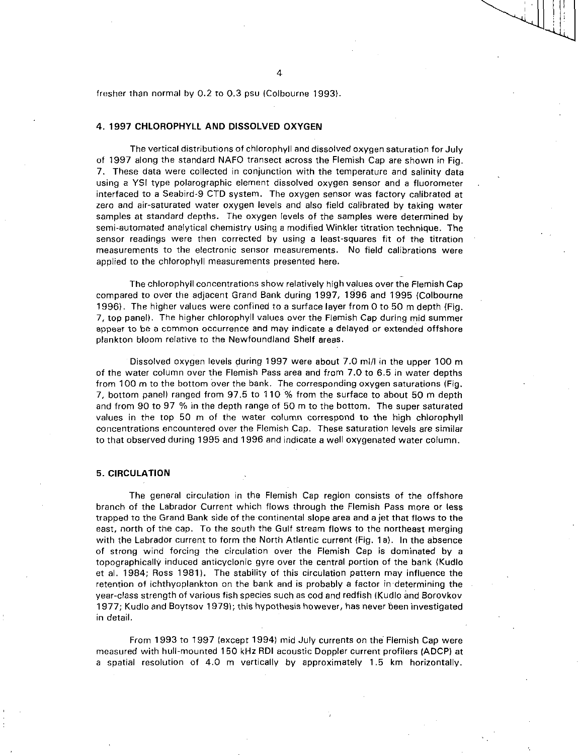fresher than normal by 0.2 to 0.3 psu (Colbourne 1993).

## **4. 1997 CHLOROPHYLL AND DISSOLVED OXYGEN**

The vertical distributions of chlorophyll and dissolved oxygen saturation for July of 1997 along the standard NAFO transect across the Flemish Cap are shown in Fig. 7. These data were collected in conjunction with the temperature and salinity data using a YSI type polarographic element dissolved oxygen sensor and a fluorometer interfaced to a Seabird-9 CTD system. The oxygen sensor was factory calibrated at zero and air-saturated water oxygen levels and also field calibrated by taking water samples at standard depths. The oxygen levels of the samples were determined by semi-automated analytical chemistry using a modified Winkler titration technique. The sensor readings were then corrected by using a least-squares fit of the titration measurements to the electronic sensor measurements. No field calibrations were applied to the chlorophyll measurements presented here.

The chlorophyll concentrations show relatively high values over the Flemish Cap compared to over the adjacent Grand Bank during 1997, 1996 and 1995 (Colbourne 1996). The higher values were confined to a surface layer from 0 to 50 m depth (Fig. 7, top panel). The higher chlorophyll values over the Flemish Cap during mid summer appear to be a common occurrence and may indicate a delayed or extended offshore plankton bloom relative to the Newfoundland Shelf areas.

Dissolved oxygen levels during 1997 were about 7.0 m1/I in the upper 100 m of the water column over the Flemish Pass area and from 7.0 to 6.5 in water depths from 100 m to the bottom over the bank. The corresponding oxygen saturations (Fig. 7, bottom panel) ranged from 97.5 to 110 % from the surface to about 50 m depth and from 90 to 97 % in the depth range of 50 m to the bottom. The super saturated values in the top 50 m of the water column correspond to the high chlorophyll concentrations encountered over the Flemish Cap. These saturation levels are similar to that observed during 1995 and 1996 and indicate a well oxygenated water column.

# **5. CIRCULATION**

The general circulation in the Flemish Cap region consists of the offshore branch of the Labrador Current which flows through the Flemish Pass more or less trapped to the Grand Bank side of the continental slope area and a jet that flows to the east, north of the cap. To the south the Gulf stream flows to the northeast merging with the Labrador current to form the North Atlantic current (Fig. 1a). In the absence of strong wind forcing the circulation over the Flemish Cap is dominated by a topographically induced anticyclonic gyre over the central portion of the bank (Kudlo et al. 1984; Ross 1981). The stability of this circulation pattern may influence the retention of ichthyoplankton on the bank and is probably a factor in •determining the year-class strength of various fish species such as cod and redfish (Kudlo and Borovkov 1977; Kudlo and Boytsov 1979); this hypothesis however, has never been investigated in detail.

From 1993 to 1997 (except 1994) mid July currents on the Flemish Cap were measured with hull-mounted 150 kHz RDI acoustic Doppler current profilers (ADCP) at a spatial resolution of 4.0 m vertically by approximately 1.5 km horizontally.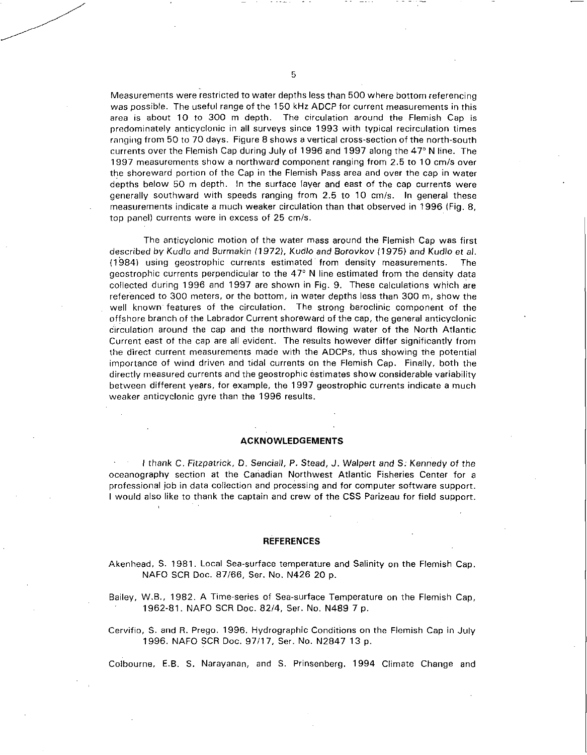Measurements were restricted to water depths less than 500 where bottom referencing was possible. The useful range of the 150 kHz ADCP for current measurements in this area is about 10 to 300 m depth. The circulation around the Flemish Cap is predominately anticyclonic in all surveys since 1993 with typical recirculation times ranging from 50 to 70 days. Figure 8 shows a vertical cross-section of the north-south currents over the Flemish Cap during July of 1996 and 1997 along the 47° N line. The 1997 measurements show a northward component ranging from 2.5 to 10 cm/s over the shoreward portion of the Cap in the Flemish Pass area and over the cap in water depths below 50 m depth. In the surface layer and east of the cap currents were generally southward with speeds ranging from 2.5 to 10 cm/s. In general these measurements indicate a much weaker circulation than that observed in 1996 (Fig. 8, top panel) currents were in excess of 25 cm/s.

The anticyclonic motion of the water mass around the Flemish Cap was first described by Kudlo *and Burmakin (1972),* Kudlo *and Borovkov (1975) and Kudlo et al.*  (1984) using geostrophic currents estimated from density measurements. The geostrophic currents perpendicular to the 47° N line estimated from the density data collected during 1996 and 1997 are shown in Fig. 9. These calculations which are referenced to 300 meters, or the bottom, in water depths less than 300 m, show the well known features of the circulation. The strong baroclinic component of the offshore branch of the Labrador Current shoreward of the cap, the general anticyclonic circulation around the cap and the northward flowing water of the North Atlantic Current east of the cap are all evident. The results however differ significantly from the direct current measurements made with the ADCPs, thus showing the potential importance of wind driven and tidal currents on the Flemish Cap. Finally, both the directly measured currents and the geostrophic estimates show considerable variability between different years, for example, the 1997 geostrophic currents indicate a much weaker anticyclonic gyre than the 1996 results.

### **ACKNOWLEDGEMENTS**

I thank C. Fitzpatrick, D. *Senciall,* P. Stead, *J. Walpert and* S. Kennedy of the oceanography section at the Canadian Northwest Atlantic Fisheries Center for a professional job in data collection and processing and for computer software support. **<sup>I</sup>**would also like to thank the captain and crew of the CSS Parizeau for field support.

#### **REFERENCES**

Akenhead, S. 1981. Local Sea-surface temperature and Salinity on the Flemish Cap. NAFO SCR Doc. 87/66, Ser. No. N426 20 p.

Bailey, W.B., 1982. A Time-series of Sea-surface Temperature on the Flemish Cap, 1962-81. NAFO SCR Doc. 82/4, Ser. No. N489 7 p.

Cervifio, S. and R. Prego. 1996. Hydrographic Conditions on the Flemish Cap in July 1996. NAFO SCR Doc. 97/17, Ser. No. N2847 13 p.

Colbourne, E.B. S. Narayanan, and S. Prinsenberg. 1994 Climate Change and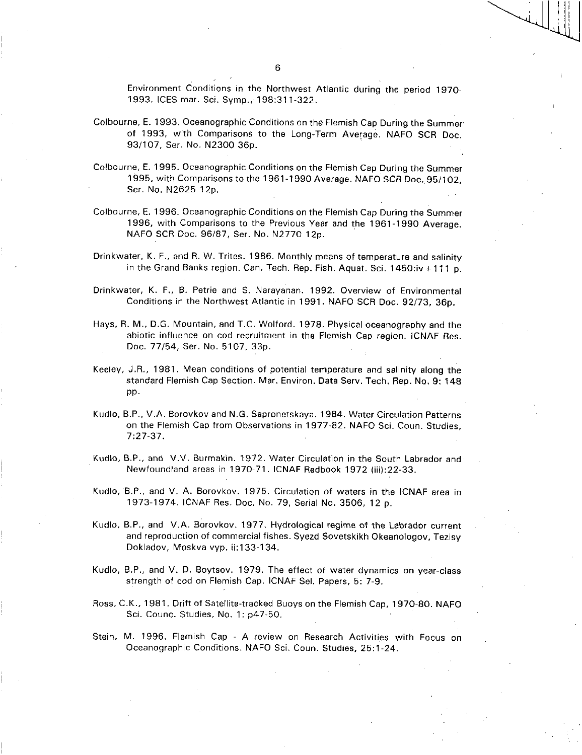Environment Conditions in the Northwest Atlantic during the period 1970- 1993. ICES mar. Sci. Symp.; 198:311-322,

- Colbourne, E. 1993. Oceanographic Conditions on the Flemish Cap During the Summer of 1993, with Comparisons to the Long-Term Average. NAFO SCR Doc. 93/107, Ser. No. N2300 36p.
- Colbourne, E. 1995. Oceanographic Conditions on the Flemish Cap During the Summer 1995, with Comparisons to the 1961-1990 Average. NAFO SCR Doc..95/102, Ser. No. N2625 12p.
- Colbourne, E. 1996. Oceanographic Conditions on the Flemish Cap During the Summer 1996, with Comparisons to the Previous Year and the 1961-1990 Average. NAFO SCR Doc. 96/87, Ser. No. N2770 12p.
- Drinkwater, K. F., and R. W. Trites. 1986. Monthly means of temperature and salinity in the Grand Banks region. Can. Tech. Rep. Fish. Aquat. Sci. 1450:iv + 111 p.
- Drinkwater, K. F., B. Petrie and S. Narayanan. 1992. Overview of Environmental Conditions in the Northwest Atlantic in 1991. NAFO SCR Doc. 92/73, 36p.
- Hays, R. M., D.G. Mountain, and T.C. Wolford. 1978, Physical oceanography and the abiotic influence on cod recruitment in the Flemish Cap region. ICNAF Res. Doc. 77/54, Ser. No. 5107, 33p.
- Keeley, J.R., 1981. Mean conditions of potential temperature and salinity along the standard Flemish Cap Section. Mar. Environ. Data Serv. Tech. Rep. No. 9: 148 pp.
- Kudlo, B.P., V.A. Borovkov and N.G. Sapronetskaya. 1984. Water Circulation Patterns on the Flemish Cap from Observations in 1977-82. NAFO Sci. Coun. Studies, 7:27-37.
- Kudlo, B.P., and V.V. Burmakin. 1972. Water Circulation in the South Labrador and Newfoundland areas in 1970-71. ICNAF Redbook 1972 (iii):22-33.
- Kudlo, B.P., and V. A. Borovkov. 1975. Circulation of waters in the ICNAF area in 1973-1974. ICNAF Res. Doc. No. 79, Serial No. 3506, 12 p.
- Kudlo, B.P., and V.A. Borovkov. 1977. Hydrological regime of the Labrador current and reproduction of commercial fishes. Syezd Sovetskikh Okeanologov, Tezisy Dokladov, Moskva vyp. ii:133-134.
- Kudlo, B.P., and V. D. Boytsov. 1979. The effect of water dynamics on year-class strength of cod on Flemish Cap. ICNAF Sel. Papers, 5: 7-9.
- Ross, C.K., 1981. Drift of Satellite-tracked Buoys on the Flemish Cap, 1970-80. NAFO Sci. Counc. Studies, No. 1: p47-50.
- Stein, M. 1996. Flemish Cap A review on Research Activities with Focus on Oceanographic Conditions. NAFO Sci. Coun. Studies, 25:1-24.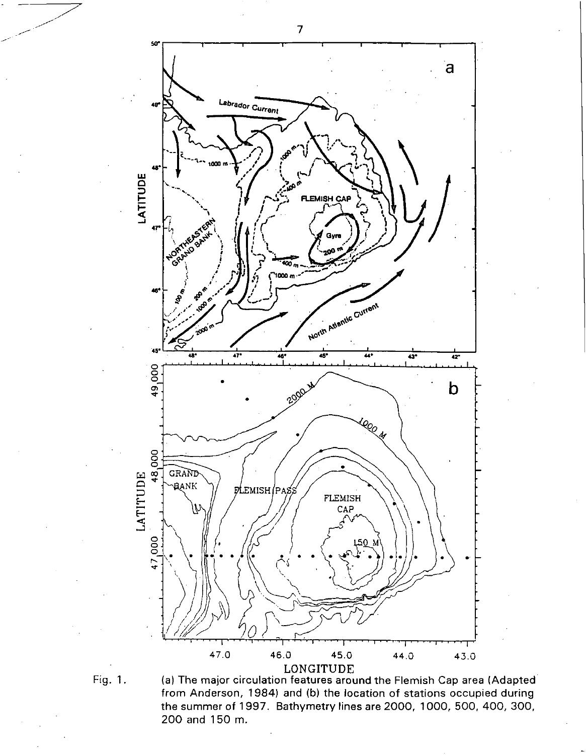



Fig. 1. (a) The major circulation features around the Flemish Cap area (Adapted from Anderson, 1984) and (b) the location of stations occupied during the summer of 1997. Bathymetry lines are 2000, 1000, 500, 400, 300, 200 and 150 m.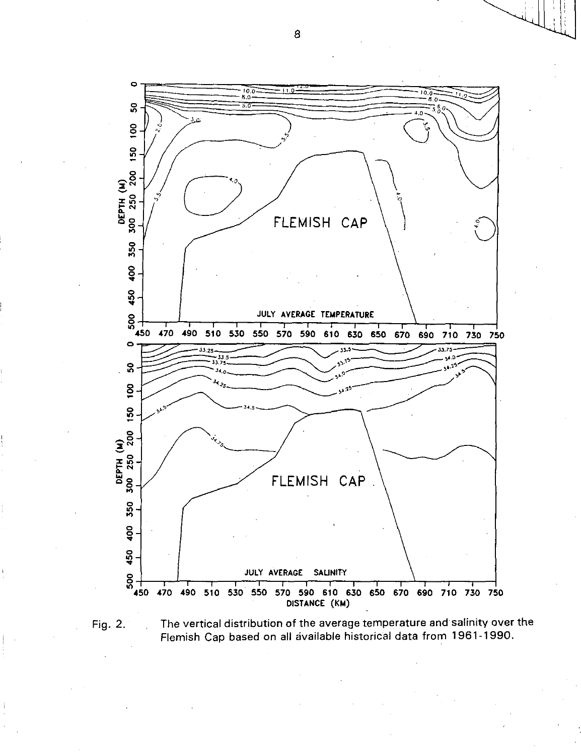

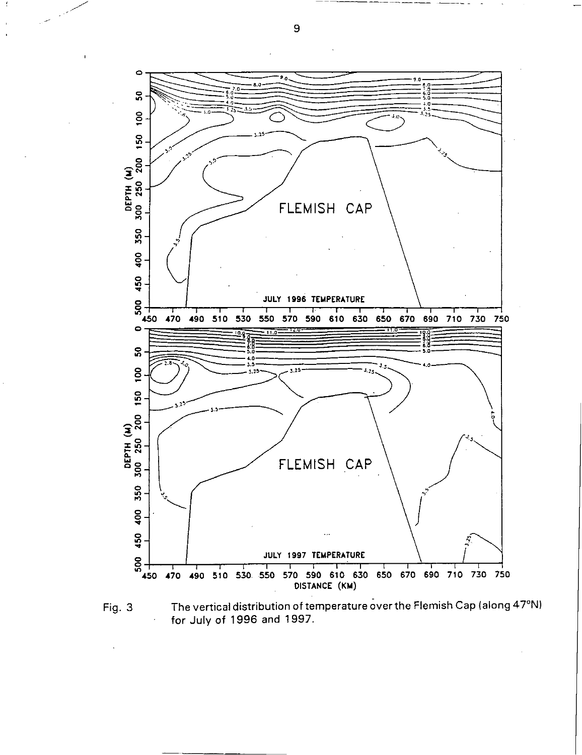

Fig. 3 The vertical distribution of temperature over the Flemish Cap (along 47°N) for July of 1996 and 1997.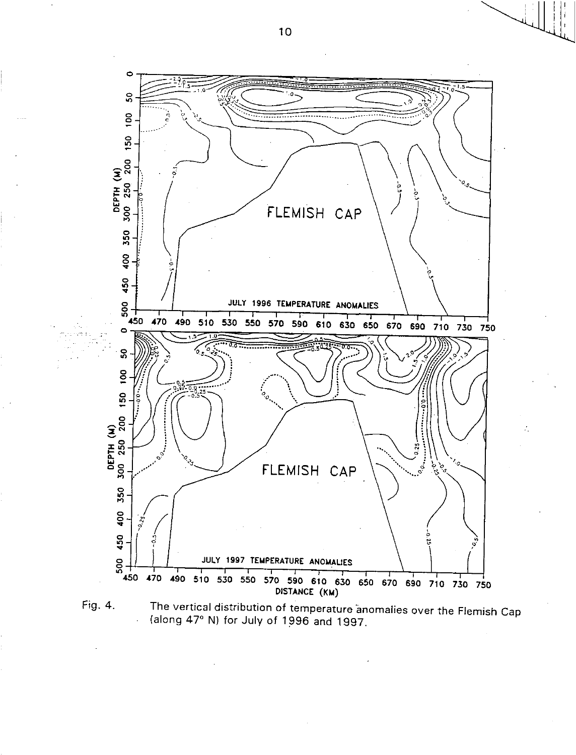

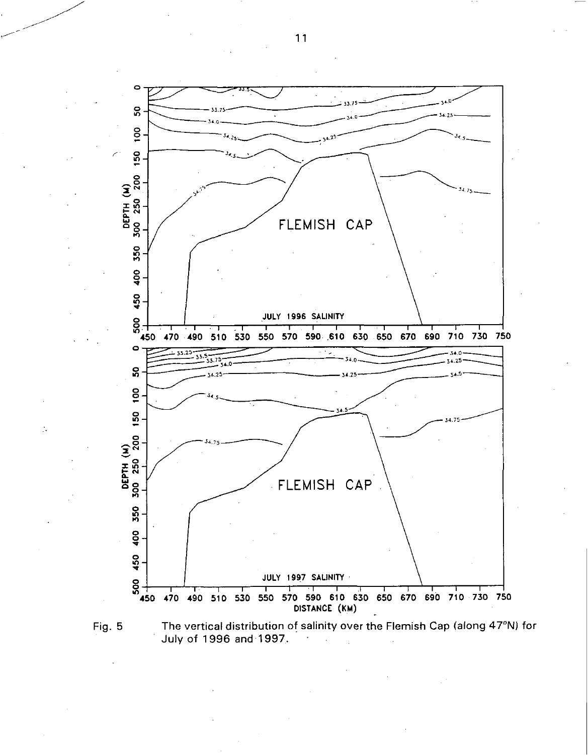

÷.

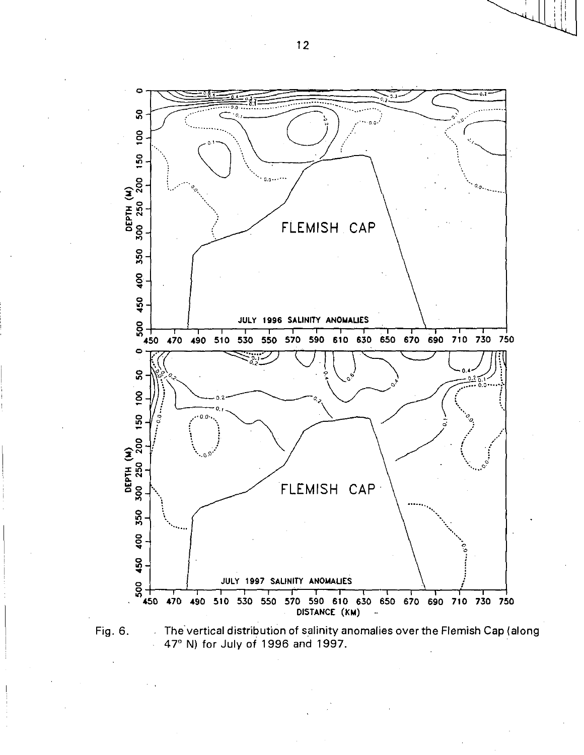

Fig. 6. The vertical distribution of salinity anomalies over the Flemish Cap (along 47° N) for July of 1996 and 1997.  $\ddot{\phantom{0}}$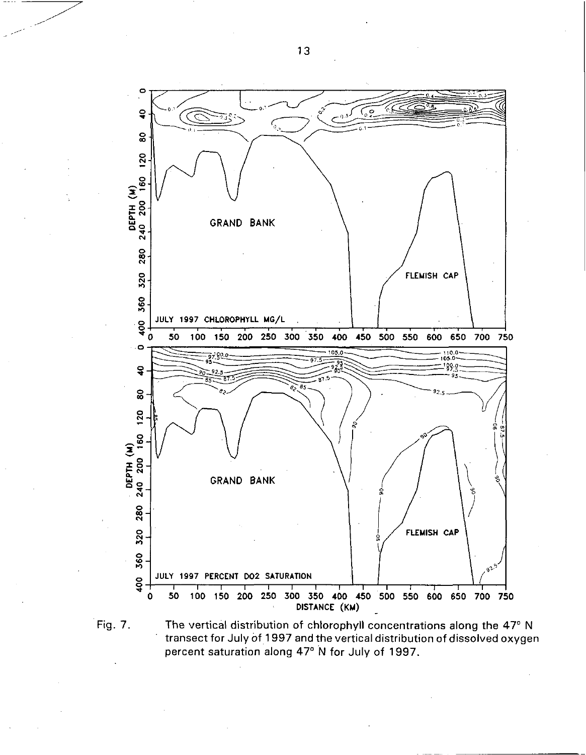

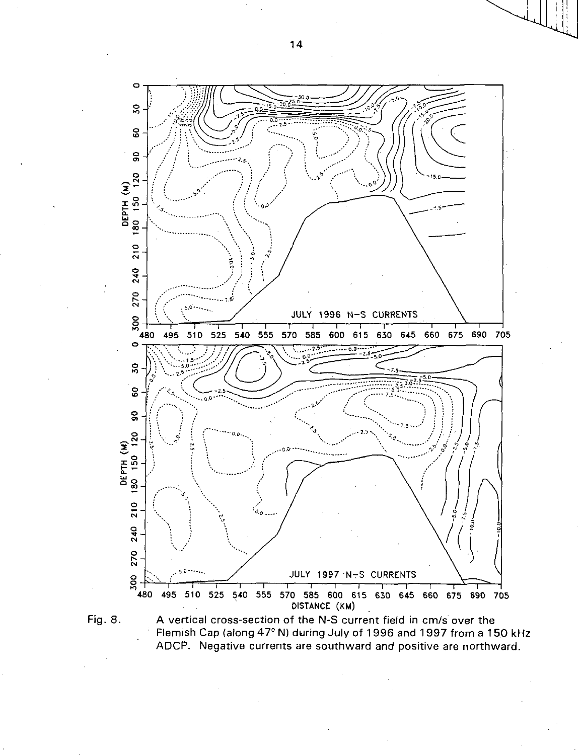



A vertical cross-section of the N-S current field in cm/s over the Flemish Cap (along 47° N) during July of 1996 and 1997 from a 150 kHz ADCP. Negative currents are southward and positive are northward.